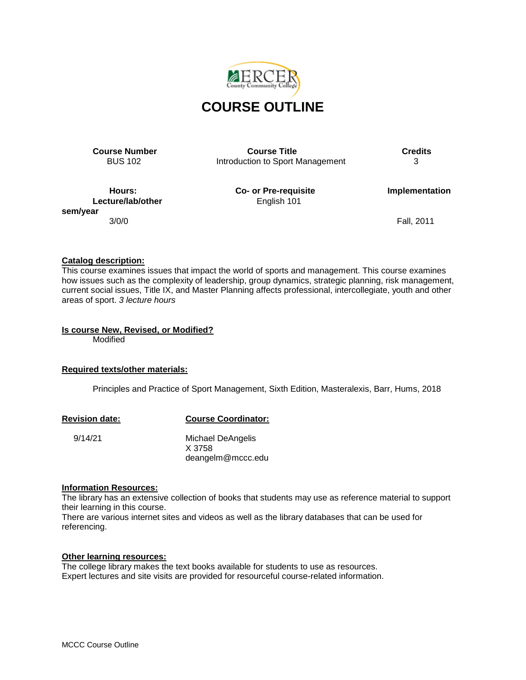

**Course Number Course Title Course Title Credits**<br>BUS 102 **COURGATE: COURGATE: COURGATE: COURGATE: COURGATE: COURGATE: COURGATE: COURGATE: COURGATE: COURGATE: COURGATE: COURGATE: COURGATE: C** Introduction to Sport Management

**Lecture/lab/other English 101 sem/year**

**Hours: Co- or Pre-requisite Implementation**

3/0/0 Fall, 2011

## **Catalog description:**

This course examines issues that impact the world of sports and management. This course examines how issues such as the complexity of leadership, group dynamics, strategic planning, risk management, current social issues, Title IX, and Master Planning affects professional, intercollegiate, youth and other areas of sport. *3 lecture hours*

## **Is course New, Revised, or Modified?**

Modified

## **Required texts/other materials:**

Principles and Practice of Sport Management, Sixth Edition, Masteralexis, Barr, Hums, 2018

### **Revision date: Course Coordinator:**

 9/14/21 Michael DeAngelis X 3758 deangelm@mccc.edu

### **Information Resources:**

The library has an extensive collection of books that students may use as reference material to support their learning in this course.

There are various internet sites and videos as well as the library databases that can be used for referencing.

## **Other learning resources:**

The college library makes the text books available for students to use as resources. Expert lectures and site visits are provided for resourceful course-related information.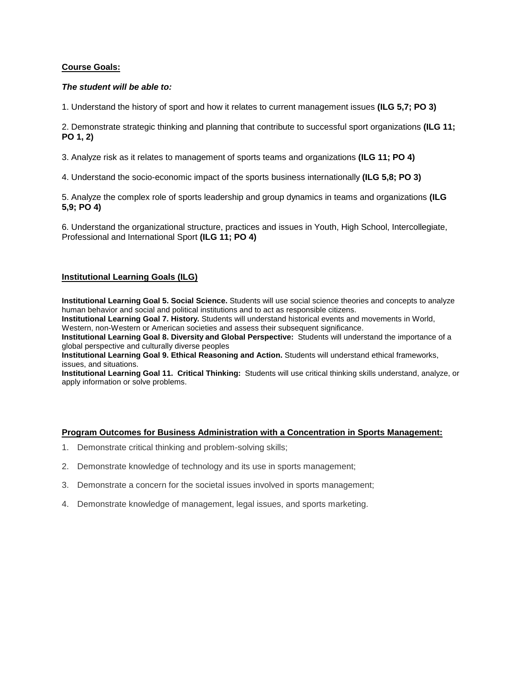### **Course Goals:**

### *The student will be able to:*

1. Understand the history of sport and how it relates to current management issues **(ILG 5,7; PO 3)**

2. Demonstrate strategic thinking and planning that contribute to successful sport organizations **(ILG 11; PO 1, 2)**

3. Analyze risk as it relates to management of sports teams and organizations **(ILG 11; PO 4)**

4. Understand the socio-economic impact of the sports business internationally **(ILG 5,8; PO 3)**

5. Analyze the complex role of sports leadership and group dynamics in teams and organizations **(ILG 5,9; PO 4)**

6. Understand the organizational structure, practices and issues in Youth, High School, Intercollegiate, Professional and International Sport **(ILG 11; PO 4)**

### **Institutional Learning Goals (ILG)**

**Institutional Learning Goal 5. Social Science.** Students will use social science theories and concepts to analyze human behavior and social and political institutions and to act as responsible citizens.

**Institutional Learning Goal 7. History.** Students will understand historical events and movements in World, Western, non-Western or American societies and assess their subsequent significance.

**Institutional Learning Goal 8. Diversity and Global Perspective:** Students will understand the importance of a global perspective and culturally diverse peoples

**Institutional Learning Goal 9. Ethical Reasoning and Action.** Students will understand ethical frameworks, issues, and situations.

**Institutional Learning Goal 11. Critical Thinking:** Students will use critical thinking skills understand, analyze, or apply information or solve problems.

### **Program Outcomes for Business Administration with a Concentration in Sports Management:**

- 1. Demonstrate critical thinking and problem-solving skills;
- 2. Demonstrate knowledge of technology and its use in sports management;
- 3. Demonstrate a concern for the societal issues involved in sports management;
- 4. Demonstrate knowledge of management, legal issues, and sports marketing.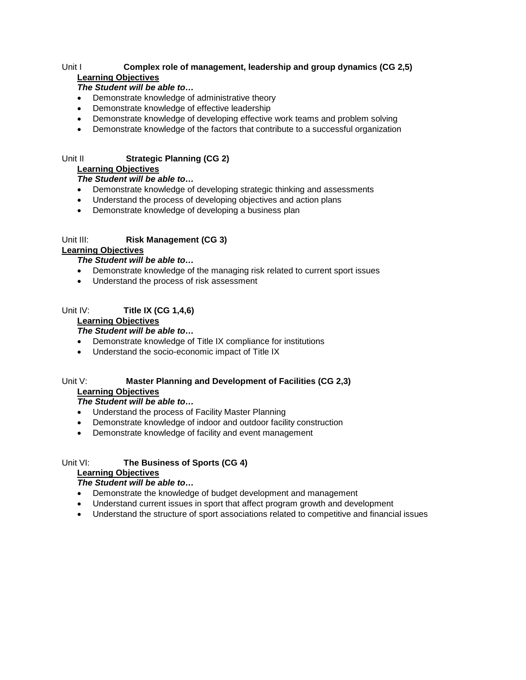## Unit I **Complex role of management, leadership and group dynamics (CG 2,5) Learning Objectives**

## *The Student will be able to…*

- Demonstrate knowledge of administrative theory
- Demonstrate knowledge of effective leadership
- Demonstrate knowledge of developing effective work teams and problem solving
- Demonstrate knowledge of the factors that contribute to a successful organization

# Unit II **Strategic Planning (CG 2)**

# **Learning Objectives**

# *The Student will be able to…*

- Demonstrate knowledge of developing strategic thinking and assessments
- Understand the process of developing objectives and action plans
- Demonstrate knowledge of developing a business plan

# Unit III: **Risk Management (CG 3)**

## **Learning Objectives**

## *The Student will be able to…*

- Demonstrate knowledge of the managing risk related to current sport issues
- Understand the process of risk assessment

# Unit IV: **Title IX (CG 1,4,6)**

# **Learning Objectives**

## *The Student will be able to…*

- Demonstrate knowledge of Title IX compliance for institutions
- Understand the socio-economic impact of Title IX

### Unit V: **Master Planning and Development of Facilities (CG 2,3) Learning Objectives**

## *The Student will be able to…*

- Understand the process of Facility Master Planning
- Demonstrate knowledge of indoor and outdoor facility construction
- Demonstrate knowledge of facility and event management

# Unit VI: **The Business of Sports (CG 4)**

## **Learning Objectives**

# *The Student will be able to…*

- Demonstrate the knowledge of budget development and management
- Understand current issues in sport that affect program growth and development
- Understand the structure of sport associations related to competitive and financial issues